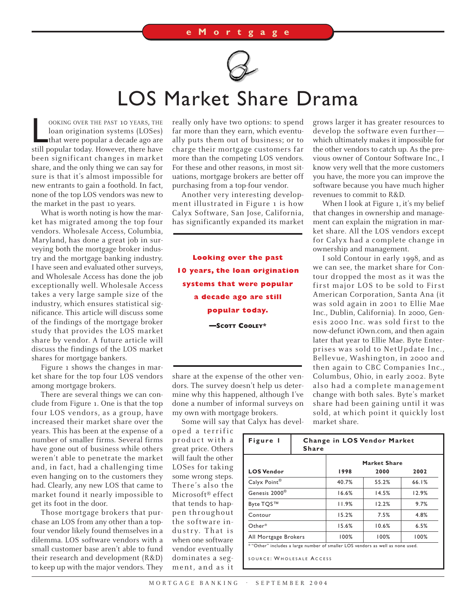

## LOS Market Share Drama

OOKING OVER THE PAST 10 YEARS, THE loan origination systems (LOSes)<br>that were popular a decade ago are<br>still popular today. However, there have OOKING OVER THE PAST 10 YEARS, THE loan origination systems (LOSes) that were popular a decade ago are been significant changes in market share, and the only thing we can say for sure is that it's almost impossible for new entrants to gain a foothold. In fact, none of the top LOS vendors was new to the market in the past 10 years.

What is worth noting is how the market has migrated among the top four vendors. Wholesale Access, Columbia, Maryland, has done a great job in surveying both the mortgage broker industry and the mortgage banking industry. I have seen and evaluated other surveys, and Wholesale Access has done the job exceptionally well. Wholesale Access takes a very large sample size of the industry, which ensures statistical significance. This article will discuss some of the findings of the mortgage broker study that provides the LOS market share by vendor. A future article will discuss the findings of the LOS market shares for mortgage bankers.

Figure 1 shows the changes in market share for the top four LOS vendors among mortgage brokers.

There are several things we can conclude from Figure 1. One is that the top four LOS vendors, as a group, have increased their market share over the years. This has been at the expense of a number of smaller firms. Several firms have gone out of business while others weren't able to penetrate the market and, in fact, had a challenging time even hanging on to the customers they had. Clearly, any new LOS that came to market found it nearly impossible to get its foot in the door.

Those mortgage brokers that purchase an LOS from any other than a topfour vendor likely found themselves in a dilemma. LOS software vendors with a small customer base aren't able to fund their research and development (R&D) to keep up with the major vendors. They

really only have two options: to spend far more than they earn, which eventually puts them out of business; or to charge their mortgage customers far more than the competing LOS vendors. For these and other reasons, in most situations, mortgage brokers are better off purchasing from a top-four vendor.

Another very interesting development illustrated in Figure 1 is how Calyx Software, San Jose, California, has significantly expanded its market

**Looking over the past 10 years, the loan origination systems that were popular a decade ago are still popular today. –SCOTT COOLEY\***

share at the expense of the other vendors. The survey doesn't help us determine why this happened, although I've done a number of informal surveys on my own with mortgage brokers.

Some will say that Calyx has devel-

oped a terrific product with a great price. Others will fault the other LOSes for taking some wrong steps. There's also the Microsoft® effect that tends to happen throughout the software industry. That is when one software vendor eventually dominates a segment, and as it

grows larger it has greater resources to develop the software even further which ultimately makes it impossible for the other vendors to catch up. As the previous owner of Contour Software Inc., I know very well that the more customers you have, the more you can improve the software because you have much higher revenues to commit to R&D.

When I look at Figure 1, it's my belief that changes in ownership and management can explain the migration in market share. All the LOS vendors except for Calyx had a complete change in ownership and management.

I sold Contour in early 1998, and as we can see, the market share for Contour dropped the most as it was the first major LOS to be sold to First American Corporation, Santa Ana (it was sold again in 2001 to Ellie Mae Inc., Dublin, California). In 2000, Genesis 2000 Inc. was sold first to the now-defunct iOwn.com, and then again later that year to Ellie Mae. Byte Enterprises was sold to NetUpdate Inc., Bellevue, Washington, in 2000 and then again to CBC Companies Inc., Columbus, Ohio, in early 2002. Byte also had a complete management change with both sales. Byte's market share had been gaining until it was sold, at which point it quickly lost market share.

| Figure 1                                                                       | <b>Change in LOS Vendor Market</b><br><b>Share</b> |                     |       |       |
|--------------------------------------------------------------------------------|----------------------------------------------------|---------------------|-------|-------|
|                                                                                |                                                    | <b>Market Share</b> |       |       |
| <b>LOS Vendor</b>                                                              |                                                    | 1998                | 2000  | 2002  |
| Calyx Point®                                                                   |                                                    | 40.7%               | 55.2% | 66.1% |
| Genesis 2000 <sup>®</sup>                                                      |                                                    | 16.6%               | 14.5% | 12.9% |
| Byte TQS™                                                                      |                                                    | 11.9%               | 12.2% | 9.7%  |
| Contour                                                                        |                                                    | 15.2%               | 7.5%  | 4.8%  |
| Other*                                                                         |                                                    | 15.6%               | 10.6% | 6.5%  |
| All Mortgage Brokers                                                           |                                                    | 100%                | 100%  | 100%  |
| * "Other" includes a large number of smaller LOS vendors as well as none used. |                                                    |                     |       |       |
| SOURCE: WHOLESALE ACCESS                                                       |                                                    |                     |       |       |